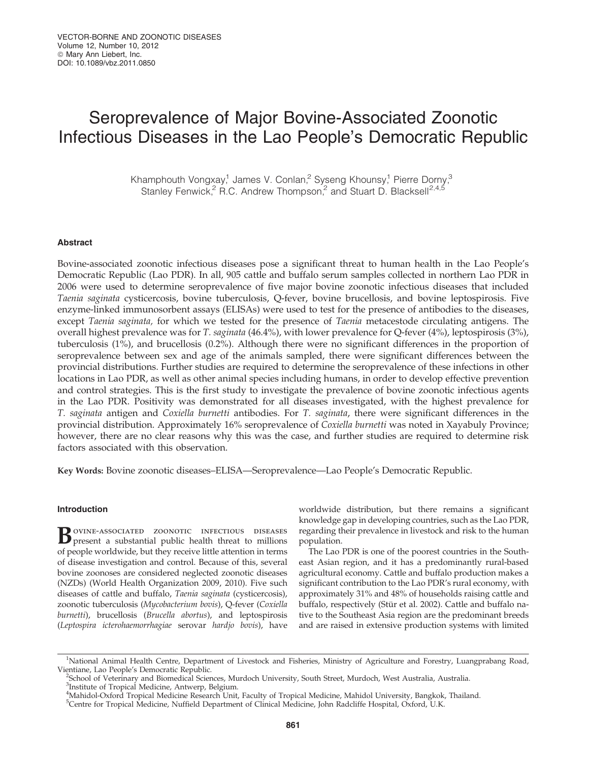# Seroprevalence of Major Bovine-Associated Zoonotic Infectious Diseases in the Lao People's Democratic Republic

Khamphouth Vongxay,<sup>1</sup> James V. Conlan,<sup>2</sup> Syseng Khounsy,<sup>1</sup> Pierre Dorny,<sup>3</sup> Stanley Fenwick,<sup>2</sup> R.C. Andrew Thompson,<sup>2</sup> and Stuart D. Blacksell<sup>2,4,5</sup>

# Abstract

Bovine-associated zoonotic infectious diseases pose a significant threat to human health in the Lao People's Democratic Republic (Lao PDR). In all, 905 cattle and buffalo serum samples collected in northern Lao PDR in 2006 were used to determine seroprevalence of five major bovine zoonotic infectious diseases that included Taenia saginata cysticercosis, bovine tuberculosis, Q-fever, bovine brucellosis, and bovine leptospirosis. Five enzyme-linked immunosorbent assays (ELISAs) were used to test for the presence of antibodies to the diseases, except Taenia saginata, for which we tested for the presence of Taenia metacestode circulating antigens. The overall highest prevalence was for T. saginata (46.4%), with lower prevalence for Q-fever (4%), leptospirosis (3%), tuberculosis (1%), and brucellosis (0.2%). Although there were no significant differences in the proportion of seroprevalence between sex and age of the animals sampled, there were significant differences between the provincial distributions. Further studies are required to determine the seroprevalence of these infections in other locations in Lao PDR, as well as other animal species including humans, in order to develop effective prevention and control strategies. This is the first study to investigate the prevalence of bovine zoonotic infectious agents in the Lao PDR. Positivity was demonstrated for all diseases investigated, with the highest prevalence for T. saginata antigen and Coxiella burnetti antibodies. For T. saginata, there were significant differences in the provincial distribution. Approximately 16% seroprevalence of Coxiella burnetti was noted in Xayabuly Province; however, there are no clear reasons why this was the case, and further studies are required to determine risk factors associated with this observation.

Key Words: Bovine zoonotic diseases–ELISA—Seroprevalence—Lao People's Democratic Republic.

# Introduction

**B**ovine-associated zoonotic infectious diseases of people worldwide, but they receive little attention in terms of disease investigation and control. Because of this, several bovine zoonoses are considered neglected zoonotic diseases (NZDs) (World Health Organization 2009, 2010). Five such diseases of cattle and buffalo, Taenia saginata (cysticercosis), zoonotic tuberculosis (Mycobacterium bovis), Q-fever (Coxiella burnetti), brucellosis (Brucella abortus), and leptospirosis (Leptospira icterohaemorrhagiae serovar hardjo bovis), have worldwide distribution, but there remains a significant knowledge gap in developing countries, such as the Lao PDR, regarding their prevalence in livestock and risk to the human population.

The Lao PDR is one of the poorest countries in the Southeast Asian region, and it has a predominantly rural-based agricultural economy. Cattle and buffalo production makes a significant contribution to the Lao PDR's rural economy, with approximately 31% and 48% of households raising cattle and buffalo, respectively (Stür et al. 2002). Cattle and buffalo native to the Southeast Asia region are the predominant breeds and are raised in extensive production systems with limited

<sup>&</sup>lt;sup>1</sup>National Animal Health Centre, Department of Livestock and Fisheries, Ministry of Agriculture and Forestry, Luangprabang Road, Vientiane, Lao People's Democratic Republic. <sup>2</sup>

School of Veterinary and Biomedical Sciences, Murdoch University, South Street, Murdoch, West Australia, Australia. <sup>3</sup>Institute of Tropical Medicine, Antwerp, Belgium.

<sup>4</sup> Mahidol-Oxford Tropical Medicine Research Unit, Faculty of Tropical Medicine, Mahidol University, Bangkok, Thailand.

<sup>5</sup> Centre for Tropical Medicine, Nuffield Department of Clinical Medicine, John Radcliffe Hospital, Oxford, U.K.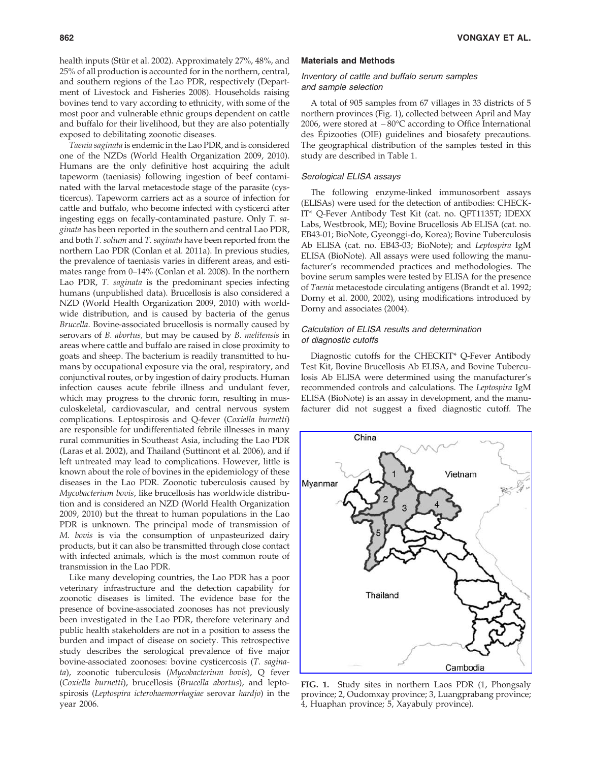health inputs (Stür et al. 2002). Approximately 27%, 48%, and 25% of all production is accounted for in the northern, central, and southern regions of the Lao PDR, respectively (Department of Livestock and Fisheries 2008). Households raising bovines tend to vary according to ethnicity, with some of the most poor and vulnerable ethnic groups dependent on cattle and buffalo for their livelihood, but they are also potentially exposed to debilitating zoonotic diseases.

Taenia saginata is endemic in the Lao PDR, and is considered one of the NZDs (World Health Organization 2009, 2010). Humans are the only definitive host acquiring the adult tapeworm (taeniasis) following ingestion of beef contaminated with the larval metacestode stage of the parasite (cysticercus). Tapeworm carriers act as a source of infection for cattle and buffalo, who become infected with cysticerci after ingesting eggs on fecally-contaminated pasture. Only T. saginata has been reported in the southern and central Lao PDR, and both T. solium and T. saginata have been reported from the northern Lao PDR (Conlan et al. 2011a). In previous studies, the prevalence of taeniasis varies in different areas, and estimates range from 0–14% (Conlan et al. 2008). In the northern Lao PDR, T. saginata is the predominant species infecting humans (unpublished data). Brucellosis is also considered a NZD (World Health Organization 2009, 2010) with worldwide distribution, and is caused by bacteria of the genus Brucella. Bovine-associated brucellosis is normally caused by serovars of B. abortus, but may be caused by B. melitensis in areas where cattle and buffalo are raised in close proximity to goats and sheep. The bacterium is readily transmitted to humans by occupational exposure via the oral, respiratory, and conjunctival routes, or by ingestion of dairy products. Human infection causes acute febrile illness and undulant fever, which may progress to the chronic form, resulting in musculoskeletal, cardiovascular, and central nervous system complications. Leptospirosis and Q-fever (Coxiella burnetti) are responsible for undifferentiated febrile illnesses in many rural communities in Southeast Asia, including the Lao PDR (Laras et al. 2002), and Thailand (Suttinont et al. 2006), and if left untreated may lead to complications. However, little is known about the role of bovines in the epidemiology of these diseases in the Lao PDR. Zoonotic tuberculosis caused by Mycobacterium bovis, like brucellosis has worldwide distribution and is considered an NZD (World Health Organization 2009, 2010) but the threat to human populations in the Lao PDR is unknown. The principal mode of transmission of M. bovis is via the consumption of unpasteurized dairy products, but it can also be transmitted through close contact with infected animals, which is the most common route of transmission in the Lao PDR.

Like many developing countries, the Lao PDR has a poor veterinary infrastructure and the detection capability for zoonotic diseases is limited. The evidence base for the presence of bovine-associated zoonoses has not previously been investigated in the Lao PDR, therefore veterinary and public health stakeholders are not in a position to assess the burden and impact of disease on society. This retrospective study describes the serological prevalence of five major bovine-associated zoonoses: bovine cysticercosis (T. saginata), zoonotic tuberculosis (Mycobacterium bovis), Q fever (Coxiella burnetti), brucellosis (Brucella abortus), and leptospirosis (Leptospira icterohaemorrhagiae serovar hardjo) in the year 2006.

## Materials and Methods

## Inventory of cattle and buffalo serum samples and sample selection

A total of 905 samples from 67 villages in 33 districts of 5 northern provinces (Fig. 1), collected between April and May 2006, were stored at  $-80^{\circ}$ C according to Office International des Épizooties (OIE) guidelines and biosafety precautions. The geographical distribution of the samples tested in this study are described in Table 1.

## Serological ELISA assays

The following enzyme-linked immunosorbent assays (ELISAs) were used for the detection of antibodies: CHECK-IT\* Q-Fever Antibody Test Kit (cat. no. QFT1135T; IDEXX Labs, Westbrook, ME); Bovine Brucellosis Ab ELISA (cat. no. EB43-01; BioNote, Gyeonggi-do, Korea); Bovine Tuberculosis Ab ELISA (cat. no. EB43-03; BioNote); and Leptospira IgM ELISA (BioNote). All assays were used following the manufacturer's recommended practices and methodologies. The bovine serum samples were tested by ELISA for the presence of Taenia metacestode circulating antigens (Brandt et al. 1992; Dorny et al. 2000, 2002), using modifications introduced by Dorny and associates (2004).

## Calculation of ELISA results and determination of diagnostic cutoffs

Diagnostic cutoffs for the CHECKIT\* Q-Fever Antibody Test Kit, Bovine Brucellosis Ab ELISA, and Bovine Tuberculosis Ab ELISA were determined using the manufacturer's recommended controls and calculations. The Leptospira IgM ELISA (BioNote) is an assay in development, and the manufacturer did not suggest a fixed diagnostic cutoff. The



FIG. 1. Study sites in northern Laos PDR (1, Phongsaly province; 2, Oudomxay province; 3, Luangprabang province; 4, Huaphan province; 5, Xayabuly province).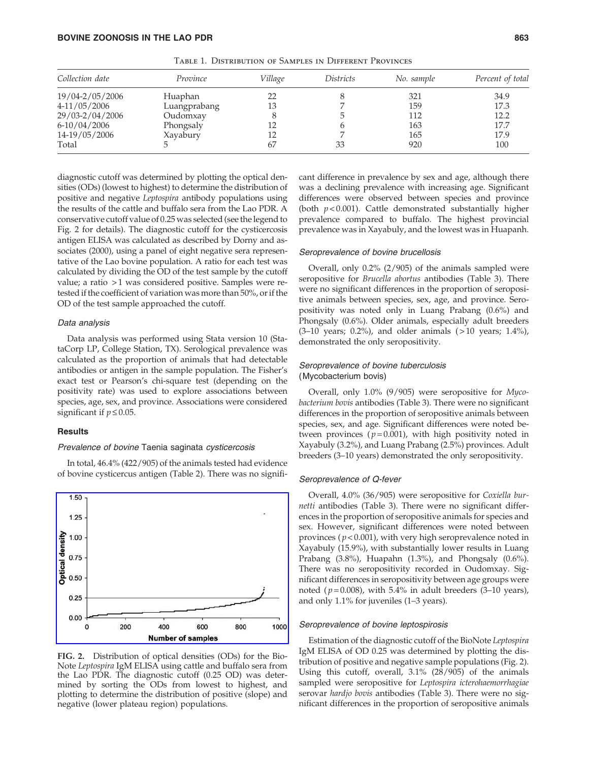Table 1. Distribution of Samples in Different Provinces

| Collection date  | Province     | Village | <i>Districts</i> | No. sample | Percent of total |  |
|------------------|--------------|---------|------------------|------------|------------------|--|
| 19/04-2/05/2006  | Huaphan      | 22      |                  | 321        | 34.9             |  |
| $4-11/05/2006$   | Luangprabang | 13      |                  | 159        | 17.3             |  |
| 29/03-2/04/2006  | Oudomxay     | 8       |                  | 112        | 12.2             |  |
| $6 - 10/04/2006$ | Phongsaly    | 12      |                  | 163        | 17.7             |  |
| 14-19/05/2006    | Xayabury     | 12      |                  | 165        | 17.9             |  |
| Total            |              | 67      | 33               | 920        | 100              |  |

diagnostic cutoff was determined by plotting the optical densities (ODs) (lowest to highest) to determine the distribution of positive and negative Leptospira antibody populations using the results of the cattle and buffalo sera from the Lao PDR. A conservative cutoff value of 0.25 was selected (see the legend to Fig. 2 for details). The diagnostic cutoff for the cysticercosis antigen ELISA was calculated as described by Dorny and associates (2000), using a panel of eight negative sera representative of the Lao bovine population. A ratio for each test was calculated by dividing the OD of the test sample by the cutoff value; a ratio > 1 was considered positive. Samples were retested if the coefficient of variation was more than 50%, or if the OD of the test sample approached the cutoff.

#### Data analysis

Data analysis was performed using Stata version 10 (StataCorp LP, College Station, TX). Serological prevalence was calculated as the proportion of animals that had detectable antibodies or antigen in the sample population. The Fisher's exact test or Pearson's chi-square test (depending on the positivity rate) was used to explore associations between species, age, sex, and province. Associations were considered significant if  $p \le 0.05$ .

## **Results**

#### Prevalence of bovine Taenia saginata cysticercosis

In total, 46.4% (422/905) of the animals tested had evidence of bovine cysticercus antigen (Table 2). There was no signifi-



FIG. 2. Distribution of optical densities (ODs) for the Bio-Note Leptospira IgM ELISA using cattle and buffalo sera from the Lao PDR. The diagnostic cutoff (0.25 OD) was determined by sorting the ODs from lowest to highest, and plotting to determine the distribution of positive (slope) and negative (lower plateau region) populations.

cant difference in prevalence by sex and age, although there was a declining prevalence with increasing age. Significant differences were observed between species and province (both  $p < 0.001$ ). Cattle demonstrated substantially higher prevalence compared to buffalo. The highest provincial prevalence was in Xayabuly, and the lowest was in Huapanh.

#### Seroprevalence of bovine brucellosis

Overall, only 0.2% (2/905) of the animals sampled were seropositive for Brucella abortus antibodies (Table 3). There were no significant differences in the proportion of seropositive animals between species, sex, age, and province. Seropositivity was noted only in Luang Prabang (0.6%) and Phongsaly (0.6%). Older animals, especially adult breeders  $(3-10 \text{ years}; 0.2\%)$ , and older animals  $(>10 \text{ years}; 1.4\%)$ , demonstrated the only seropositivity.

# Seroprevalence of bovine tuberculosis (Mycobacterium bovis)

Overall, only 1.0% (9/905) were seropositive for Mycobacterium bovis antibodies (Table 3). There were no significant differences in the proportion of seropositive animals between species, sex, and age. Significant differences were noted between provinces ( $p = 0.001$ ), with high positivity noted in Xayabuly (3.2%), and Luang Prabang (2.5%) provinces. Adult breeders (3–10 years) demonstrated the only seropositivity.

#### Seroprevalence of Q-fever

Overall, 4.0% (36/905) were seropositive for Coxiella burnetti antibodies (Table 3). There were no significant differences in the proportion of seropositive animals for species and sex. However, significant differences were noted between provinces ( $p < 0.001$ ), with very high seroprevalence noted in Xayabuly (15.9%), with substantially lower results in Luang Prabang (3.8%), Huapahn (1.3%), and Phongsaly (0.6%). There was no seropositivity recorded in Oudomxay. Significant differences in seropositivity between age groups were noted ( $p = 0.008$ ), with 5.4% in adult breeders (3–10 years), and only 1.1% for juveniles (1–3 years).

#### Seroprevalence of bovine leptospirosis

Estimation of the diagnostic cutoff of the BioNote Leptospira IgM ELISA of OD 0.25 was determined by plotting the distribution of positive and negative sample populations (Fig. 2). Using this cutoff, overall, 3.1% (28/905) of the animals sampled were seropositive for Leptospira icterohaemorrhagiae serovar hardjo bovis antibodies (Table 3). There were no significant differences in the proportion of seropositive animals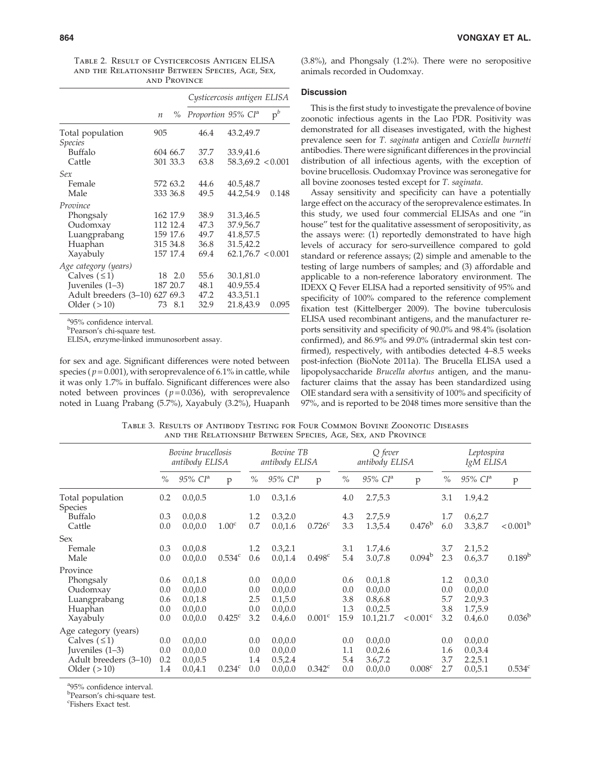Table 2. Result of Cysticercosis Antigen ELISA and the Relationship Between Species, Age, Sex, and Province

|                                    |                  |          | Cysticercosis antigen ELISA    |                   |       |  |  |  |
|------------------------------------|------------------|----------|--------------------------------|-------------------|-------|--|--|--|
|                                    | $\boldsymbol{n}$ | $\%$     | Proportion 95% CI <sup>a</sup> |                   | $p^b$ |  |  |  |
| Total population<br><b>Species</b> | 905              |          | 46.4                           | 43.2,49.7         |       |  |  |  |
| Buffalo                            |                  | 604 66.7 | 37.7                           | 33.9,41.6         |       |  |  |  |
| Cattle                             |                  | 301 33.3 | 63.8                           | 58.3,69.2 < 0.001 |       |  |  |  |
| Sex                                |                  |          |                                |                   |       |  |  |  |
| Female                             |                  | 572 63.2 | 44.6                           | 40.5,48.7         |       |  |  |  |
| Male                               |                  | 333 36.8 | 49.5                           | 44.2,54.9         | 0.148 |  |  |  |
| Province                           |                  |          |                                |                   |       |  |  |  |
| Phongsaly                          |                  | 162 17.9 | 38.9                           | 31.3,46.5         |       |  |  |  |
| Oudomxay                           |                  | 112 12.4 | 47.3                           | 37.9,56.7         |       |  |  |  |
| Luangprabang                       |                  | 159 17.6 | 49.7                           | 41.8,57.5         |       |  |  |  |
| Huaphan                            |                  | 315 34.8 | 36.8                           | 31.5,42.2         |       |  |  |  |
| Xayabuly                           |                  | 157 17.4 | 69.4                           | 62.1,76.7 < 0.001 |       |  |  |  |
| Age category (years)               |                  |          |                                |                   |       |  |  |  |
| Calves $(≤1)$                      |                  | 18 2.0   | 55.6                           | 30.1,81.0         |       |  |  |  |
| Iuveniles $(1-3)$                  |                  | 187 20.7 | 48.1                           | 40.9,55.4         |       |  |  |  |
| Adult breeders (3–10) 627 69.3     |                  |          | 47.2                           | 43.3,51.1         |       |  |  |  |
| Older $(>10)$                      | 73               | 8.1      | 32.9                           | 21.8,43.9         | 0.095 |  |  |  |

<sup>a</sup>95% confidence interval.

b Pearson's chi-square test.

ELISA, enzyme-linked immunosorbent assay.

for sex and age. Significant differences were noted between species ( $p = 0.001$ ), with seroprevalence of 6.1% in cattle, while it was only 1.7% in buffalo. Significant differences were also noted between provinces ( $p=0.036$ ), with seroprevalence noted in Luang Prabang (5.7%), Xayabuly (3.2%), Huapanh (3.8%), and Phongsaly (1.2%). There were no seropositive animals recorded in Oudomxay.

# **Discussion**

This is the first study to investigate the prevalence of bovine zoonotic infectious agents in the Lao PDR. Positivity was demonstrated for all diseases investigated, with the highest prevalence seen for T. saginata antigen and Coxiella burnetti antibodies. There were significant differences in the provincial distribution of all infectious agents, with the exception of bovine brucellosis. Oudomxay Province was seronegative for all bovine zoonoses tested except for T. saginata.

Assay sensitivity and specificity can have a potentially large effect on the accuracy of the seroprevalence estimates. In this study, we used four commercial ELISAs and one ''in house'' test for the qualitative assessment of seropositivity, as the assays were: (1) reportedly demonstrated to have high levels of accuracy for sero-surveillence compared to gold standard or reference assays; (2) simple and amenable to the testing of large numbers of samples; and (3) affordable and applicable to a non-reference laboratory environment. The IDEXX Q Fever ELISA had a reported sensitivity of 95% and specificity of 100% compared to the reference complement fixation test (Kittelberger 2009). The bovine tuberculosis ELISA used recombinant antigens, and the manufacturer reports sensitivity and specificity of 90.0% and 98.4% (isolation confirmed), and 86.9% and 99.0% (intradermal skin test confirmed), respectively, with antibodies detected 4–8.5 weeks post-infection (BioNote 2011a). The Brucella ELISA used a lipopolysaccharide Brucella abortus antigen, and the manufacturer claims that the assay has been standardized using OIE standard sera with a sensitivity of 100% and specificity of 97%, and is reported to be 2048 times more sensitive than the

Table 3. Results of Antibody Testing for Four Common Bovine Zoonotic Diseases and the Relationship Between Species, Age, Sex, and Province

|                       | Bovine brucellosis<br>antibody ELISA |              | Bovine TB<br>antibody ELISA |         | Q fever<br>antibody ELISA |                      |      | Leptospira<br>IgM ELISA |                        |      |                     |                   |
|-----------------------|--------------------------------------|--------------|-----------------------------|---------|---------------------------|----------------------|------|-------------------------|------------------------|------|---------------------|-------------------|
|                       | $\%$                                 | $95\%$ $CIa$ | $\mathbf{p}$                | $\%$    | $95\%$ $CIa$              | p                    | $\%$ | $95\%$ $CIa$            | p                      | $\%$ | 95% CI <sup>a</sup> | $\mathbf{p}$      |
| Total population      | 0.2                                  | 0.0, 0.5     |                             | $1.0\,$ | 0.3, 1.6                  |                      | 4.0  | 2.7,5.3                 |                        | 3.1  | 1.9,4.2             |                   |
| Species               |                                      |              |                             |         |                           |                      |      |                         |                        |      |                     |                   |
| Buffalo               | 0.3                                  | 0.0, 0.8     |                             | 1.2     | 0.3,2.0                   |                      | 4.3  | 2.7,5.9                 |                        | 1.7  | 0.6, 2.7            |                   |
| Cattle                | 0.0                                  | 0.0, 0.0     | 1.00 <sup>c</sup>           | 0.7     | 0.0, 1.6                  | $0.726$ <sup>c</sup> | 3.3  | 1.3,5.4                 | $0.476^{\rm b}$        | 6.0  | 3.3,8.7             | $< 0.001^{\rm b}$ |
| <b>Sex</b>            |                                      |              |                             |         |                           |                      |      |                         |                        |      |                     |                   |
| Female                | 0.3                                  | 0.0.0.8      |                             | 1.2     | 0.3,2.1                   |                      | 3.1  | 1.7,4.6                 |                        | 3.7  | 2.1,5.2             |                   |
| Male                  | 0.0                                  | 0.0, 0.0     | 0.534 <sup>c</sup>          | 0.6     | 0.0.1.4                   | 0.498c               | 5.4  | 3.0,7.8                 | $0.094^{\rm b}$        | 2.3  | 0.6,3.7             | $0.189^{b}$       |
| Province              |                                      |              |                             |         |                           |                      |      |                         |                        |      |                     |                   |
| Phongsaly             | 0.6                                  | 0.0.1.8      |                             | 0.0     | 0.0, 0.0                  |                      | 0.6  | 0.0, 1.8                |                        | 1.2  | 0.0, 3.0            |                   |
| Oudomxay              | 0.0                                  | 0.0, 0.0     |                             | 0.0     | 0.0, 0.0                  |                      | 0.0  | 0.0, 0.0                |                        | 0.0  | 0.0, 0.0            |                   |
| Luangprabang          | 0.6                                  | 0.0.1.8      |                             | 2.5     | 0.1,5.0                   |                      | 3.8  | 0.8, 6.8                |                        | 5.7  | 2.0,9.3             |                   |
| Huaphan               | 0.0                                  | 0.0, 0.0     |                             | 0.0     | 0.0, 0.0                  |                      | 1.3  | 0.0,2.5                 |                        | 3.8  | 1.7,5.9             |                   |
| Xayabuly              | 0.0                                  | 0.0, 0.0     | $0.425^{\circ}$             | 3.2     | 0.4,6.0                   | 0.001 <sup>c</sup>   | 15.9 | 10.1,21.7               | $< 0.001$ <sup>c</sup> | 3.2  | 0.4,6.0             | $0.036^{b}$       |
| Age category (years)  |                                      |              |                             |         |                           |                      |      |                         |                        |      |                     |                   |
| Calves $( \leq 1)$    | 0.0                                  | 0.0, 0.0     |                             | 0.0     | 0.0, 0.0                  |                      | 0.0  | 0.0, 0.0                |                        | 0.0  | 0.0, 0.0            |                   |
| Juveniles (1-3)       | 0.0                                  | 0.0, 0.0     |                             | 0.0     | 0.0, 0.0                  |                      | 1.1  | 0.0,2.6                 |                        | 1.6  | 0.0,3.4             |                   |
| Adult breeders (3–10) | 0.2                                  | 0.0, 0.5     |                             | 1.4     | 0.5, 2.4                  |                      | 5.4  | 3.6,7.2                 |                        | 3.7  | 2.2,5.1             |                   |
| Older $(>10)$         | 1.4                                  | 0.0.4.1      | $0.234$ <sup>c</sup>        | 0.0     | 0.0, 0.0                  | $0.342^{\circ}$      | 0.0  | 0.0, 0.0                | 0.008 <sup>c</sup>     | 2.7  | 0.0,5.1             | $0.534^c$         |

<sup>a</sup>95% confidence interval.

<sup>b</sup>Pearson's chi-square test.

c Fishers Exact test.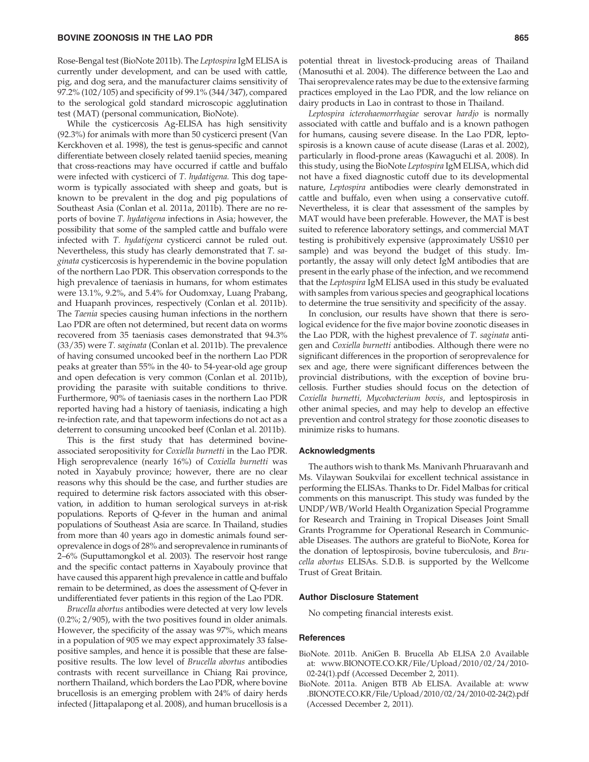Rose-Bengal test (BioNote 2011b). The Leptospira IgM ELISA is currently under development, and can be used with cattle, pig, and dog sera, and the manufacturer claims sensitivity of 97.2% (102/105) and specificity of 99.1% (344/347), compared to the serological gold standard microscopic agglutination test (MAT) (personal communication, BioNote).

While the cysticercosis Ag-ELISA has high sensitivity (92.3%) for animals with more than 50 cysticerci present (Van Kerckhoven et al. 1998), the test is genus-specific and cannot differentiate between closely related taeniid species, meaning that cross-reactions may have occurred if cattle and buffalo were infected with cysticerci of *T. hydatigena*. This dog tapeworm is typically associated with sheep and goats, but is known to be prevalent in the dog and pig populations of Southeast Asia (Conlan et al. 2011a, 2011b). There are no reports of bovine T. hydatigena infections in Asia; however, the possibility that some of the sampled cattle and buffalo were infected with T. hydatigena cysticerci cannot be ruled out. Nevertheless, this study has clearly demonstrated that T. saginata cysticercosis is hyperendemic in the bovine population of the northern Lao PDR. This observation corresponds to the high prevalence of taeniasis in humans, for whom estimates were 13.1%, 9.2%, and 5.4% for Oudomxay, Luang Prabang, and Huapanh provinces, respectively (Conlan et al. 2011b). The Taenia species causing human infections in the northern Lao PDR are often not determined, but recent data on worms recovered from 35 taeniasis cases demonstrated that 94.3% (33/35) were T. saginata (Conlan et al. 2011b). The prevalence of having consumed uncooked beef in the northern Lao PDR peaks at greater than 55% in the 40- to 54-year-old age group and open defecation is very common (Conlan et al. 2011b), providing the parasite with suitable conditions to thrive. Furthermore, 90% of taeniasis cases in the northern Lao PDR reported having had a history of taeniasis, indicating a high re-infection rate, and that tapeworm infections do not act as a deterrent to consuming uncooked beef (Conlan et al. 2011b).

This is the first study that has determined bovineassociated seropositivity for Coxiella burnetti in the Lao PDR. High seroprevalence (nearly 16%) of Coxiella burnetti was noted in Xayabuly province; however, there are no clear reasons why this should be the case, and further studies are required to determine risk factors associated with this observation, in addition to human serological surveys in at-risk populations. Reports of Q-fever in the human and animal populations of Southeast Asia are scarce. In Thailand, studies from more than 40 years ago in domestic animals found seroprevalence in dogs of 28% and seroprevalence in ruminants of 2–6% (Suputtamongkol et al. 2003). The reservoir host range and the specific contact patterns in Xayabouly province that have caused this apparent high prevalence in cattle and buffalo remain to be determined, as does the assessment of Q-fever in undifferentiated fever patients in this region of the Lao PDR.

Brucella abortus antibodies were detected at very low levels (0.2%; 2/905), with the two positives found in older animals. However, the specificity of the assay was 97%, which means in a population of 905 we may expect approximately 33 falsepositive samples, and hence it is possible that these are falsepositive results. The low level of Brucella abortus antibodies contrasts with recent surveillance in Chiang Rai province, northern Thailand, which borders the Lao PDR, where bovine brucellosis is an emerging problem with 24% of dairy herds infected ( Jittapalapong et al. 2008), and human brucellosis is a

potential threat in livestock-producing areas of Thailand (Manosuthi et al. 2004). The difference between the Lao and Thai seroprevalence rates may be due to the extensive farming practices employed in the Lao PDR, and the low reliance on dairy products in Lao in contrast to those in Thailand.

Leptospira icterohaemorrhagiae serovar hardjo is normally associated with cattle and buffalo and is a known pathogen for humans, causing severe disease. In the Lao PDR, leptospirosis is a known cause of acute disease (Laras et al. 2002), particularly in flood-prone areas (Kawaguchi et al. 2008). In this study, using the BioNote Leptospira IgM ELISA, which did not have a fixed diagnostic cutoff due to its developmental nature, Leptospira antibodies were clearly demonstrated in cattle and buffalo, even when using a conservative cutoff. Nevertheless, it is clear that assessment of the samples by MAT would have been preferable. However, the MAT is best suited to reference laboratory settings, and commercial MAT testing is prohibitively expensive (approximately US\$10 per sample) and was beyond the budget of this study. Importantly, the assay will only detect IgM antibodies that are present in the early phase of the infection, and we recommend that the Leptospira IgM ELISA used in this study be evaluated with samples from various species and geographical locations to determine the true sensitivity and specificity of the assay.

In conclusion, our results have shown that there is serological evidence for the five major bovine zoonotic diseases in the Lao PDR, with the highest prevalence of T. saginata antigen and Coxiella burnetti antibodies. Although there were no significant differences in the proportion of seroprevalence for sex and age, there were significant differences between the provincial distributions, with the exception of bovine brucellosis. Further studies should focus on the detection of Coxiella burnetti, Mycobacterium bovis, and leptospirosis in other animal species, and may help to develop an effective prevention and control strategy for those zoonotic diseases to minimize risks to humans.

#### Acknowledgments

The authors wish to thank Ms. Manivanh Phruaravanh and Ms. Vilaywan Soukvilai for excellent technical assistance in performing the ELISAs. Thanks to Dr. Fidel Malbas for critical comments on this manuscript. This study was funded by the UNDP/WB/World Health Organization Special Programme for Research and Training in Tropical Diseases Joint Small Grants Programme for Operational Research in Communicable Diseases. The authors are grateful to BioNote, Korea for the donation of leptospirosis, bovine tuberculosis, and Brucella abortus ELISAs. S.D.B. is supported by the Wellcome Trust of Great Britain.

## Author Disclosure Statement

No competing financial interests exist.

#### **References**

- BioNote. 2011b. AniGen B. Brucella Ab ELISA 2.0 Available at: www.BIONOTE.CO.KR/File/Upload/2010/02/24/2010- 02-24(1).pdf (Accessed December 2, 2011).
- BioNote. 2011a. Anigen BTB Ab ELISA. Available at: www .BIONOTE.CO.KR/File/Upload/2010/02/24/2010-02-24(2).pdf (Accessed December 2, 2011).